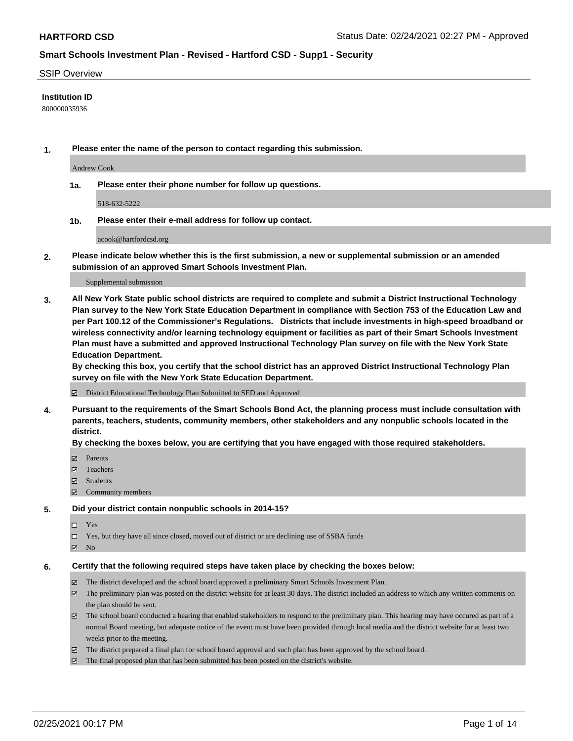#### SSIP Overview

### **Institution ID**

800000035936

**1. Please enter the name of the person to contact regarding this submission.**

Andrew Cook

**1a. Please enter their phone number for follow up questions.**

518-632-5222

**1b. Please enter their e-mail address for follow up contact.**

acook@hartfordcsd.org

**2. Please indicate below whether this is the first submission, a new or supplemental submission or an amended submission of an approved Smart Schools Investment Plan.**

#### Supplemental submission

**3. All New York State public school districts are required to complete and submit a District Instructional Technology Plan survey to the New York State Education Department in compliance with Section 753 of the Education Law and per Part 100.12 of the Commissioner's Regulations. Districts that include investments in high-speed broadband or wireless connectivity and/or learning technology equipment or facilities as part of their Smart Schools Investment Plan must have a submitted and approved Instructional Technology Plan survey on file with the New York State Education Department.** 

**By checking this box, you certify that the school district has an approved District Instructional Technology Plan survey on file with the New York State Education Department.**

District Educational Technology Plan Submitted to SED and Approved

**4. Pursuant to the requirements of the Smart Schools Bond Act, the planning process must include consultation with parents, teachers, students, community members, other stakeholders and any nonpublic schools located in the district.** 

### **By checking the boxes below, you are certifying that you have engaged with those required stakeholders.**

- **Ø** Parents
- Teachers
- Students
- Community members

#### **5. Did your district contain nonpublic schools in 2014-15?**

- □ Yes
- □ Yes, but they have all since closed, moved out of district or are declining use of SSBA funds
- **Ø** No

#### **6. Certify that the following required steps have taken place by checking the boxes below:**

- The district developed and the school board approved a preliminary Smart Schools Investment Plan.
- The preliminary plan was posted on the district website for at least 30 days. The district included an address to which any written comments on the plan should be sent.
- The school board conducted a hearing that enabled stakeholders to respond to the preliminary plan. This hearing may have occured as part of a normal Board meeting, but adequate notice of the event must have been provided through local media and the district website for at least two weeks prior to the meeting.
- The district prepared a final plan for school board approval and such plan has been approved by the school board.
- $\boxtimes$  The final proposed plan that has been submitted has been posted on the district's website.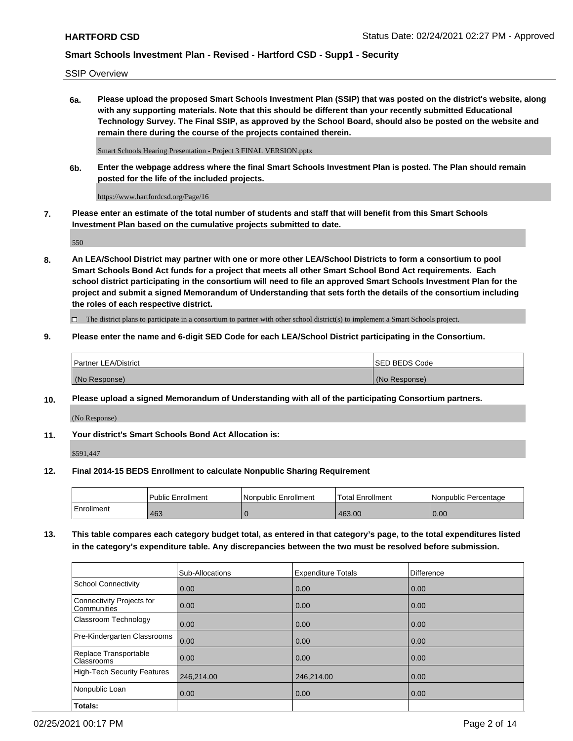SSIP Overview

**6a. Please upload the proposed Smart Schools Investment Plan (SSIP) that was posted on the district's website, along with any supporting materials. Note that this should be different than your recently submitted Educational Technology Survey. The Final SSIP, as approved by the School Board, should also be posted on the website and remain there during the course of the projects contained therein.**

Smart Schools Hearing Presentation - Project 3 FINAL VERSION.pptx

**6b. Enter the webpage address where the final Smart Schools Investment Plan is posted. The Plan should remain posted for the life of the included projects.**

https://www.hartfordcsd.org/Page/16

**7. Please enter an estimate of the total number of students and staff that will benefit from this Smart Schools Investment Plan based on the cumulative projects submitted to date.**

550

**8. An LEA/School District may partner with one or more other LEA/School Districts to form a consortium to pool Smart Schools Bond Act funds for a project that meets all other Smart School Bond Act requirements. Each school district participating in the consortium will need to file an approved Smart Schools Investment Plan for the project and submit a signed Memorandum of Understanding that sets forth the details of the consortium including the roles of each respective district.**

 $\Box$  The district plans to participate in a consortium to partner with other school district(s) to implement a Smart Schools project.

## **9. Please enter the name and 6-digit SED Code for each LEA/School District participating in the Consortium.**

| Partner LEA/District | <b>ISED BEDS Code</b> |
|----------------------|-----------------------|
| (No Response)        | (No Response)         |

### **10. Please upload a signed Memorandum of Understanding with all of the participating Consortium partners.**

(No Response)

**11. Your district's Smart Schools Bond Act Allocation is:**

\$591,447

### **12. Final 2014-15 BEDS Enrollment to calculate Nonpublic Sharing Requirement**

|            | Public Enrollment | Nonpublic Enrollment | Total Enrollment | INonpublic Percentage |
|------------|-------------------|----------------------|------------------|-----------------------|
| Enrollment | 463               |                      | 463.00           | 0.00                  |

**13. This table compares each category budget total, as entered in that category's page, to the total expenditures listed in the category's expenditure table. Any discrepancies between the two must be resolved before submission.**

|                                          | Sub-Allocations | <b>Expenditure Totals</b> | <b>Difference</b> |
|------------------------------------------|-----------------|---------------------------|-------------------|
| <b>School Connectivity</b>               | 0.00            | 0.00                      | 0.00              |
| Connectivity Projects for<br>Communities | 0.00            | 0.00                      | 0.00              |
| Classroom Technology                     | 0.00            | 0.00                      | 0.00              |
| Pre-Kindergarten Classrooms              | 0.00            | 0.00                      | 0.00              |
| Replace Transportable<br>Classrooms      | 0.00            | 0.00                      | 0.00              |
| High-Tech Security Features              | 246,214.00      | 246,214.00                | 0.00              |
| Nonpublic Loan                           | 0.00            | 0.00                      | 0.00              |
| Totals:                                  |                 |                           |                   |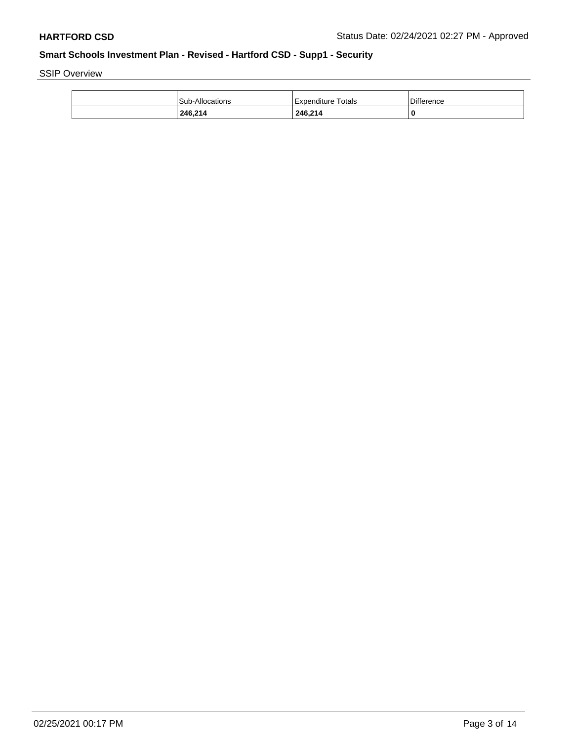SSIP Overview

| 246.214         | 246,214                   | 0          |
|-----------------|---------------------------|------------|
| Sub-Allocations | <b>Expenditure Totals</b> | Difference |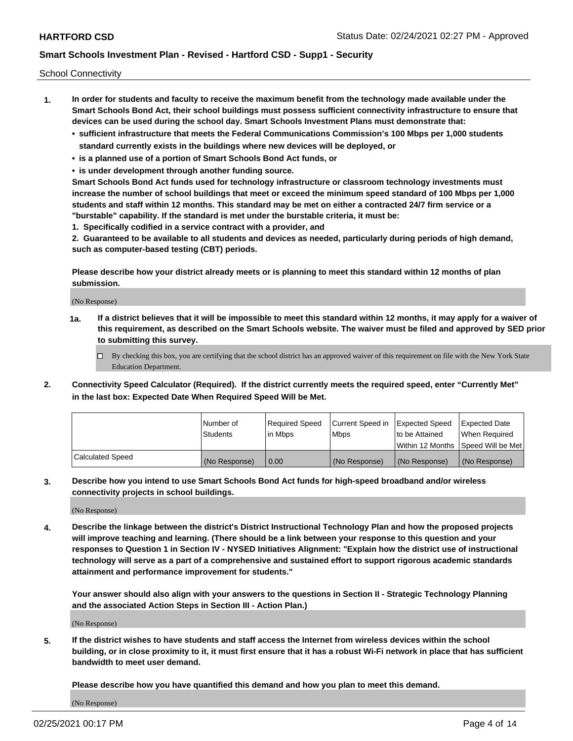School Connectivity

- **1. In order for students and faculty to receive the maximum benefit from the technology made available under the Smart Schools Bond Act, their school buildings must possess sufficient connectivity infrastructure to ensure that devices can be used during the school day. Smart Schools Investment Plans must demonstrate that:**
	- **• sufficient infrastructure that meets the Federal Communications Commission's 100 Mbps per 1,000 students standard currently exists in the buildings where new devices will be deployed, or**
	- **• is a planned use of a portion of Smart Schools Bond Act funds, or**
	- **• is under development through another funding source.**

**Smart Schools Bond Act funds used for technology infrastructure or classroom technology investments must increase the number of school buildings that meet or exceed the minimum speed standard of 100 Mbps per 1,000 students and staff within 12 months. This standard may be met on either a contracted 24/7 firm service or a "burstable" capability. If the standard is met under the burstable criteria, it must be:**

**1. Specifically codified in a service contract with a provider, and**

**2. Guaranteed to be available to all students and devices as needed, particularly during periods of high demand, such as computer-based testing (CBT) periods.**

**Please describe how your district already meets or is planning to meet this standard within 12 months of plan submission.**

(No Response)

**1a. If a district believes that it will be impossible to meet this standard within 12 months, it may apply for a waiver of this requirement, as described on the Smart Schools website. The waiver must be filed and approved by SED prior to submitting this survey.**

 $\Box$  By checking this box, you are certifying that the school district has an approved waiver of this requirement on file with the New York State Education Department.

**2. Connectivity Speed Calculator (Required). If the district currently meets the required speed, enter "Currently Met" in the last box: Expected Date When Required Speed Will be Met.**

|                  | l Number of     | Required Speed | Current Speed in | Expected Speed  | <b>Expected Date</b>                    |
|------------------|-----------------|----------------|------------------|-----------------|-----------------------------------------|
|                  | <b>Students</b> | In Mbps        | l Mbps           | Ito be Attained | When Required                           |
|                  |                 |                |                  |                 | l Within 12 Months ISpeed Will be Met l |
| Calculated Speed | (No Response)   | 0.00           | (No Response)    | (No Response)   | (No Response)                           |

**3. Describe how you intend to use Smart Schools Bond Act funds for high-speed broadband and/or wireless connectivity projects in school buildings.**

(No Response)

**4. Describe the linkage between the district's District Instructional Technology Plan and how the proposed projects will improve teaching and learning. (There should be a link between your response to this question and your responses to Question 1 in Section IV - NYSED Initiatives Alignment: "Explain how the district use of instructional technology will serve as a part of a comprehensive and sustained effort to support rigorous academic standards attainment and performance improvement for students."** 

**Your answer should also align with your answers to the questions in Section II - Strategic Technology Planning and the associated Action Steps in Section III - Action Plan.)**

(No Response)

**5. If the district wishes to have students and staff access the Internet from wireless devices within the school building, or in close proximity to it, it must first ensure that it has a robust Wi-Fi network in place that has sufficient bandwidth to meet user demand.**

**Please describe how you have quantified this demand and how you plan to meet this demand.**

(No Response)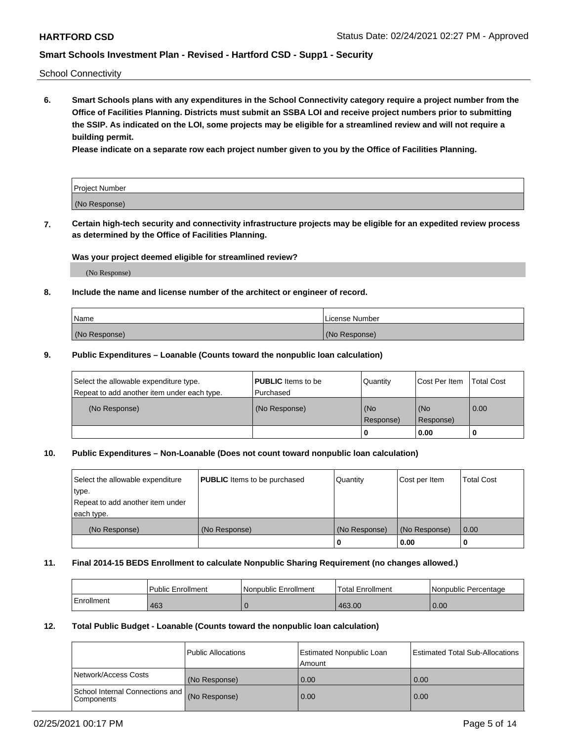School Connectivity

**6. Smart Schools plans with any expenditures in the School Connectivity category require a project number from the Office of Facilities Planning. Districts must submit an SSBA LOI and receive project numbers prior to submitting the SSIP. As indicated on the LOI, some projects may be eligible for a streamlined review and will not require a building permit.**

**Please indicate on a separate row each project number given to you by the Office of Facilities Planning.**

| Project Number |  |
|----------------|--|
| (No Response)  |  |

**7. Certain high-tech security and connectivity infrastructure projects may be eligible for an expedited review process as determined by the Office of Facilities Planning.**

### **Was your project deemed eligible for streamlined review?**

(No Response)

### **8. Include the name and license number of the architect or engineer of record.**

| Name          | License Number |
|---------------|----------------|
| (No Response) | (No Response)  |

### **9. Public Expenditures – Loanable (Counts toward the nonpublic loan calculation)**

| Select the allowable expenditure type.<br>Repeat to add another item under each type. | <b>PUBLIC</b> Items to be<br>l Purchased | Quantity         | l Cost Per Item  | <b>Total Cost</b> |
|---------------------------------------------------------------------------------------|------------------------------------------|------------------|------------------|-------------------|
| (No Response)                                                                         | (No Response)                            | (No<br>Response) | (No<br>Response) | 0.00              |
|                                                                                       |                                          | 0                | 0.00             |                   |

## **10. Public Expenditures – Non-Loanable (Does not count toward nonpublic loan calculation)**

| Select the allowable expenditure<br>type.      | <b>PUBLIC</b> Items to be purchased | Quantity      | Cost per Item | <b>Total Cost</b> |
|------------------------------------------------|-------------------------------------|---------------|---------------|-------------------|
| Repeat to add another item under<br>each type. |                                     |               |               |                   |
| (No Response)                                  | (No Response)                       | (No Response) | (No Response) | 0.00              |
|                                                |                                     |               | 0.00          |                   |

#### **11. Final 2014-15 BEDS Enrollment to calculate Nonpublic Sharing Requirement (no changes allowed.)**

|            | l Public Enrollment | Nonpublic Enrollment | <b>Total Enrollment</b> | l Nonpublic Percentage |
|------------|---------------------|----------------------|-------------------------|------------------------|
| Enrollment | 463                 |                      | 463.00                  | 0.00                   |

### **12. Total Public Budget - Loanable (Counts toward the nonpublic loan calculation)**

|                                               | Public Allocations | <b>Estimated Nonpublic Loan</b><br>Amount | Estimated Total Sub-Allocations |
|-----------------------------------------------|--------------------|-------------------------------------------|---------------------------------|
| Network/Access Costs                          | (No Response)      | 0.00                                      | 0.00                            |
| School Internal Connections and<br>Components | (No Response)      | 0.00                                      | 0.00                            |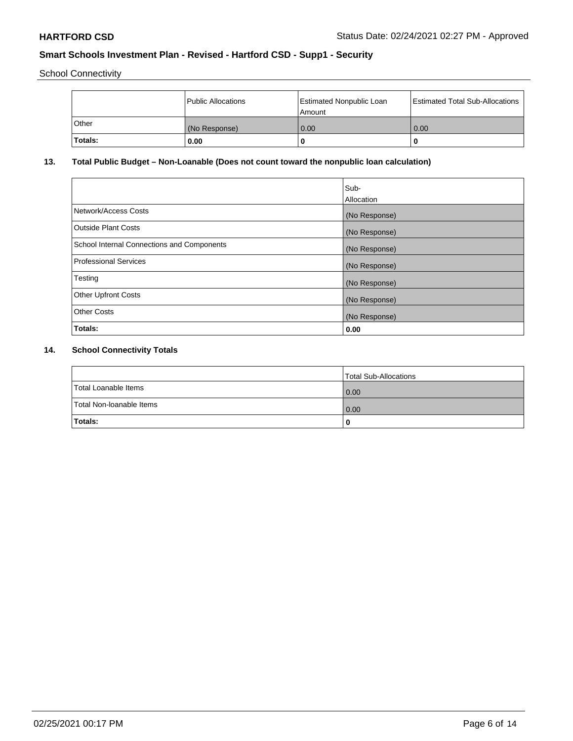School Connectivity

|         | Public Allocations | <b>Estimated Nonpublic Loan</b><br>l Amount | <b>Estimated Total Sub-Allocations</b> |
|---------|--------------------|---------------------------------------------|----------------------------------------|
| l Other | (No Response)      | 0.00                                        | 0.00                                   |
| Totals: | 0.00               | 0                                           |                                        |

# **13. Total Public Budget – Non-Loanable (Does not count toward the nonpublic loan calculation)**

|                                                   | Sub-<br>Allocation |
|---------------------------------------------------|--------------------|
| Network/Access Costs                              | (No Response)      |
| <b>Outside Plant Costs</b>                        | (No Response)      |
| <b>School Internal Connections and Components</b> | (No Response)      |
| <b>Professional Services</b>                      | (No Response)      |
| Testing                                           | (No Response)      |
| <b>Other Upfront Costs</b>                        | (No Response)      |
| <b>Other Costs</b>                                | (No Response)      |
| Totals:                                           | 0.00               |

# **14. School Connectivity Totals**

|                          | Total Sub-Allocations |
|--------------------------|-----------------------|
| Total Loanable Items     | 0.00                  |
| Total Non-Ioanable Items | 0.00                  |
| Totals:                  | 0                     |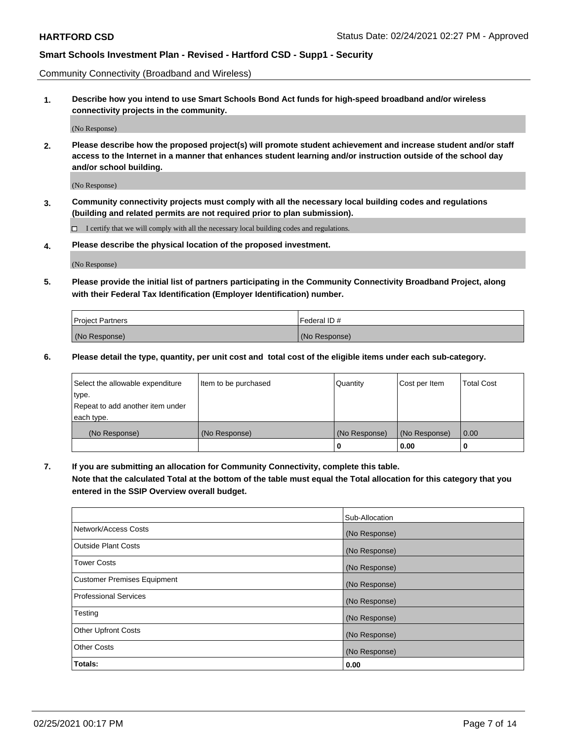Community Connectivity (Broadband and Wireless)

**1. Describe how you intend to use Smart Schools Bond Act funds for high-speed broadband and/or wireless connectivity projects in the community.**

(No Response)

**2. Please describe how the proposed project(s) will promote student achievement and increase student and/or staff access to the Internet in a manner that enhances student learning and/or instruction outside of the school day and/or school building.**

(No Response)

**3. Community connectivity projects must comply with all the necessary local building codes and regulations (building and related permits are not required prior to plan submission).**

 $\Box$  I certify that we will comply with all the necessary local building codes and regulations.

**4. Please describe the physical location of the proposed investment.**

(No Response)

**5. Please provide the initial list of partners participating in the Community Connectivity Broadband Project, along with their Federal Tax Identification (Employer Identification) number.**

| <b>Project Partners</b> | l Federal ID # |
|-------------------------|----------------|
| (No Response)           | (No Response)  |

**6. Please detail the type, quantity, per unit cost and total cost of the eligible items under each sub-category.**

| Select the allowable expenditure | Item to be purchased | Quantity      | Cost per Item | <b>Total Cost</b> |
|----------------------------------|----------------------|---------------|---------------|-------------------|
| type.                            |                      |               |               |                   |
| Repeat to add another item under |                      |               |               |                   |
| each type.                       |                      |               |               |                   |
| (No Response)                    | (No Response)        | (No Response) | (No Response) | 0.00              |
|                                  |                      | U             | 0.00          |                   |

**7. If you are submitting an allocation for Community Connectivity, complete this table.**

**Note that the calculated Total at the bottom of the table must equal the Total allocation for this category that you entered in the SSIP Overview overall budget.**

|                                    | Sub-Allocation |
|------------------------------------|----------------|
| Network/Access Costs               | (No Response)  |
| Outside Plant Costs                | (No Response)  |
| <b>Tower Costs</b>                 | (No Response)  |
| <b>Customer Premises Equipment</b> | (No Response)  |
| <b>Professional Services</b>       | (No Response)  |
| Testing                            | (No Response)  |
| <b>Other Upfront Costs</b>         | (No Response)  |
| <b>Other Costs</b>                 | (No Response)  |
| Totals:                            | 0.00           |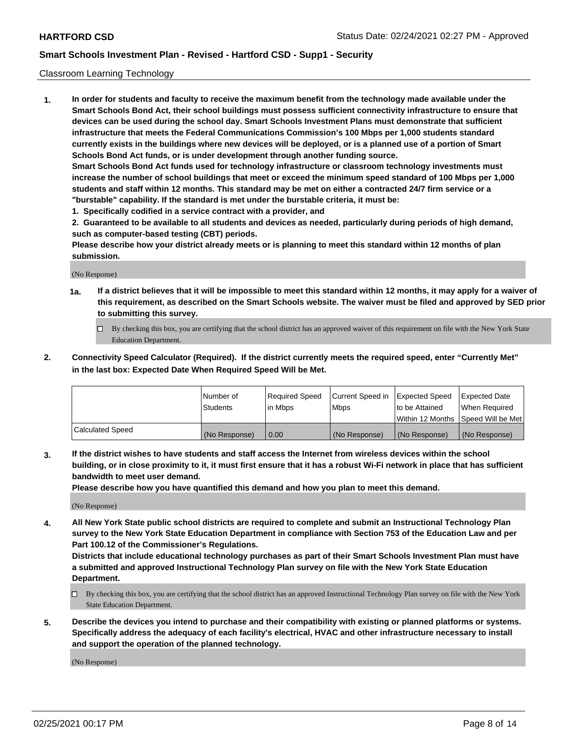### Classroom Learning Technology

**1. In order for students and faculty to receive the maximum benefit from the technology made available under the Smart Schools Bond Act, their school buildings must possess sufficient connectivity infrastructure to ensure that devices can be used during the school day. Smart Schools Investment Plans must demonstrate that sufficient infrastructure that meets the Federal Communications Commission's 100 Mbps per 1,000 students standard currently exists in the buildings where new devices will be deployed, or is a planned use of a portion of Smart Schools Bond Act funds, or is under development through another funding source. Smart Schools Bond Act funds used for technology infrastructure or classroom technology investments must increase the number of school buildings that meet or exceed the minimum speed standard of 100 Mbps per 1,000 students and staff within 12 months. This standard may be met on either a contracted 24/7 firm service or a**

- **"burstable" capability. If the standard is met under the burstable criteria, it must be:**
- **1. Specifically codified in a service contract with a provider, and**

**2. Guaranteed to be available to all students and devices as needed, particularly during periods of high demand, such as computer-based testing (CBT) periods.**

**Please describe how your district already meets or is planning to meet this standard within 12 months of plan submission.**

(No Response)

- **1a. If a district believes that it will be impossible to meet this standard within 12 months, it may apply for a waiver of this requirement, as described on the Smart Schools website. The waiver must be filed and approved by SED prior to submitting this survey.**
	- By checking this box, you are certifying that the school district has an approved waiver of this requirement on file with the New York State Education Department.
- **2. Connectivity Speed Calculator (Required). If the district currently meets the required speed, enter "Currently Met" in the last box: Expected Date When Required Speed Will be Met.**

|                  | l Number of     | Required Speed | Current Speed in | <b>Expected Speed</b> | <b>Expected Date</b>                |
|------------------|-----------------|----------------|------------------|-----------------------|-------------------------------------|
|                  | <b>Students</b> | l in Mbps      | l Mbps           | to be Attained        | When Required                       |
|                  |                 |                |                  |                       | Within 12 Months  Speed Will be Met |
| Calculated Speed | (No Response)   | 0.00           | (No Response)    | l (No Response)       | (No Response)                       |

**3. If the district wishes to have students and staff access the Internet from wireless devices within the school building, or in close proximity to it, it must first ensure that it has a robust Wi-Fi network in place that has sufficient bandwidth to meet user demand.**

**Please describe how you have quantified this demand and how you plan to meet this demand.**

(No Response)

**4. All New York State public school districts are required to complete and submit an Instructional Technology Plan survey to the New York State Education Department in compliance with Section 753 of the Education Law and per Part 100.12 of the Commissioner's Regulations.**

**Districts that include educational technology purchases as part of their Smart Schools Investment Plan must have a submitted and approved Instructional Technology Plan survey on file with the New York State Education Department.**

- By checking this box, you are certifying that the school district has an approved Instructional Technology Plan survey on file with the New York State Education Department.
- **5. Describe the devices you intend to purchase and their compatibility with existing or planned platforms or systems. Specifically address the adequacy of each facility's electrical, HVAC and other infrastructure necessary to install and support the operation of the planned technology.**

(No Response)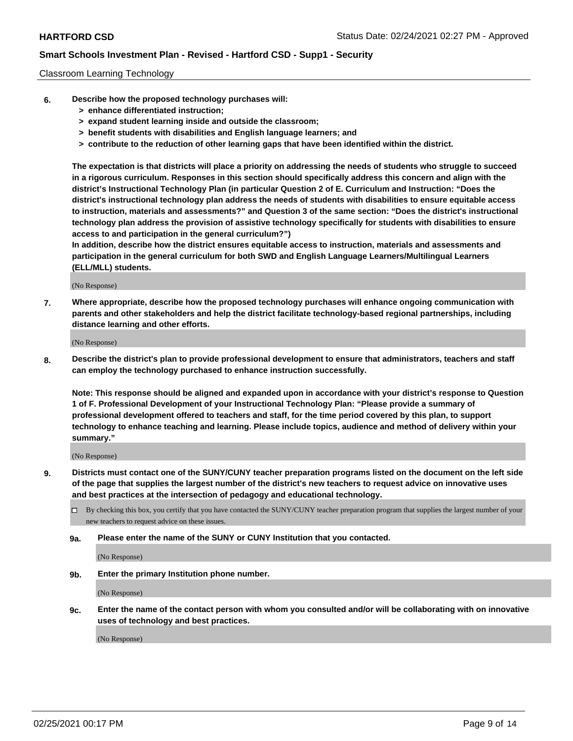### Classroom Learning Technology

- **6. Describe how the proposed technology purchases will:**
	- **> enhance differentiated instruction;**
	- **> expand student learning inside and outside the classroom;**
	- **> benefit students with disabilities and English language learners; and**
	- **> contribute to the reduction of other learning gaps that have been identified within the district.**

**The expectation is that districts will place a priority on addressing the needs of students who struggle to succeed in a rigorous curriculum. Responses in this section should specifically address this concern and align with the district's Instructional Technology Plan (in particular Question 2 of E. Curriculum and Instruction: "Does the district's instructional technology plan address the needs of students with disabilities to ensure equitable access to instruction, materials and assessments?" and Question 3 of the same section: "Does the district's instructional technology plan address the provision of assistive technology specifically for students with disabilities to ensure access to and participation in the general curriculum?")**

**In addition, describe how the district ensures equitable access to instruction, materials and assessments and participation in the general curriculum for both SWD and English Language Learners/Multilingual Learners (ELL/MLL) students.**

(No Response)

**7. Where appropriate, describe how the proposed technology purchases will enhance ongoing communication with parents and other stakeholders and help the district facilitate technology-based regional partnerships, including distance learning and other efforts.**

(No Response)

**8. Describe the district's plan to provide professional development to ensure that administrators, teachers and staff can employ the technology purchased to enhance instruction successfully.**

**Note: This response should be aligned and expanded upon in accordance with your district's response to Question 1 of F. Professional Development of your Instructional Technology Plan: "Please provide a summary of professional development offered to teachers and staff, for the time period covered by this plan, to support technology to enhance teaching and learning. Please include topics, audience and method of delivery within your summary."**

(No Response)

- **9. Districts must contact one of the SUNY/CUNY teacher preparation programs listed on the document on the left side of the page that supplies the largest number of the district's new teachers to request advice on innovative uses and best practices at the intersection of pedagogy and educational technology.**
	- By checking this box, you certify that you have contacted the SUNY/CUNY teacher preparation program that supplies the largest number of your new teachers to request advice on these issues.
	- **9a. Please enter the name of the SUNY or CUNY Institution that you contacted.**

(No Response)

**9b. Enter the primary Institution phone number.**

(No Response)

**9c. Enter the name of the contact person with whom you consulted and/or will be collaborating with on innovative uses of technology and best practices.**

(No Response)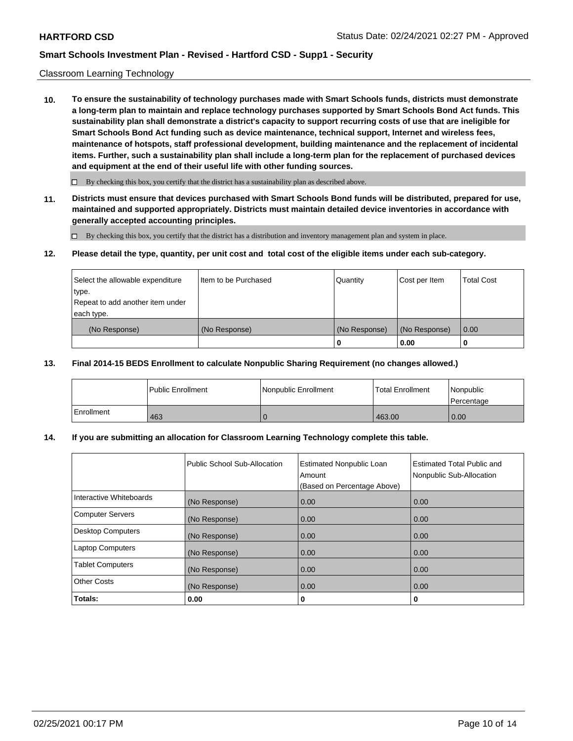### Classroom Learning Technology

**10. To ensure the sustainability of technology purchases made with Smart Schools funds, districts must demonstrate a long-term plan to maintain and replace technology purchases supported by Smart Schools Bond Act funds. This sustainability plan shall demonstrate a district's capacity to support recurring costs of use that are ineligible for Smart Schools Bond Act funding such as device maintenance, technical support, Internet and wireless fees, maintenance of hotspots, staff professional development, building maintenance and the replacement of incidental items. Further, such a sustainability plan shall include a long-term plan for the replacement of purchased devices and equipment at the end of their useful life with other funding sources.**

 $\Box$  By checking this box, you certify that the district has a sustainability plan as described above.

**11. Districts must ensure that devices purchased with Smart Schools Bond funds will be distributed, prepared for use, maintained and supported appropriately. Districts must maintain detailed device inventories in accordance with generally accepted accounting principles.**

By checking this box, you certify that the district has a distribution and inventory management plan and system in place.

### **12. Please detail the type, quantity, per unit cost and total cost of the eligible items under each sub-category.**

| Select the allowable expenditure<br>type.      | Item to be Purchased | Quantity      | Cost per Item | <b>Total Cost</b> |
|------------------------------------------------|----------------------|---------------|---------------|-------------------|
| Repeat to add another item under<br>each type. |                      |               |               |                   |
| (No Response)                                  | (No Response)        | (No Response) | (No Response) | 0.00              |
|                                                |                      |               | 0.00          |                   |

### **13. Final 2014-15 BEDS Enrollment to calculate Nonpublic Sharing Requirement (no changes allowed.)**

|              | l Public Enrollment | Nonpublic Enrollment | <b>Total Enrollment</b> | Nonpublic<br>l Percentage |
|--------------|---------------------|----------------------|-------------------------|---------------------------|
| l Enrollment | 463                 |                      | 463.00                  | 0.00                      |

## **14. If you are submitting an allocation for Classroom Learning Technology complete this table.**

|                         | Public School Sub-Allocation | <b>Estimated Nonpublic Loan</b><br>Amount<br>(Based on Percentage Above) | <b>Estimated Total Public and</b><br>Nonpublic Sub-Allocation |
|-------------------------|------------------------------|--------------------------------------------------------------------------|---------------------------------------------------------------|
| Interactive Whiteboards | (No Response)                | 0.00                                                                     | 0.00                                                          |
| Computer Servers        | (No Response)                | 0.00                                                                     | 0.00                                                          |
| Desktop Computers       | (No Response)                | 0.00                                                                     | 0.00                                                          |
| <b>Laptop Computers</b> | (No Response)                | 0.00                                                                     | 0.00                                                          |
| <b>Tablet Computers</b> | (No Response)                | 0.00                                                                     | 0.00                                                          |
| <b>Other Costs</b>      | (No Response)                | 0.00                                                                     | 0.00                                                          |
| Totals:                 | 0.00                         | 0                                                                        | 0                                                             |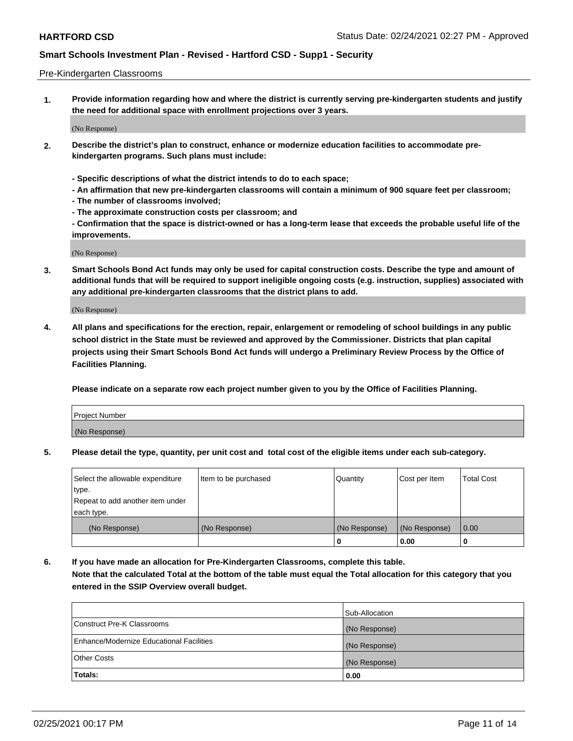### Pre-Kindergarten Classrooms

**1. Provide information regarding how and where the district is currently serving pre-kindergarten students and justify the need for additional space with enrollment projections over 3 years.**

(No Response)

- **2. Describe the district's plan to construct, enhance or modernize education facilities to accommodate prekindergarten programs. Such plans must include:**
	- **Specific descriptions of what the district intends to do to each space;**
	- **An affirmation that new pre-kindergarten classrooms will contain a minimum of 900 square feet per classroom;**
	- **The number of classrooms involved;**
	- **The approximate construction costs per classroom; and**
	- **Confirmation that the space is district-owned or has a long-term lease that exceeds the probable useful life of the improvements.**

(No Response)

**3. Smart Schools Bond Act funds may only be used for capital construction costs. Describe the type and amount of additional funds that will be required to support ineligible ongoing costs (e.g. instruction, supplies) associated with any additional pre-kindergarten classrooms that the district plans to add.**

(No Response)

**4. All plans and specifications for the erection, repair, enlargement or remodeling of school buildings in any public school district in the State must be reviewed and approved by the Commissioner. Districts that plan capital projects using their Smart Schools Bond Act funds will undergo a Preliminary Review Process by the Office of Facilities Planning.**

**Please indicate on a separate row each project number given to you by the Office of Facilities Planning.**

| Project Number |  |
|----------------|--|
| (No Response)  |  |
|                |  |

**5. Please detail the type, quantity, per unit cost and total cost of the eligible items under each sub-category.**

| Select the allowable expenditure | Item to be purchased | Quantity      | Cost per Item | <b>Total Cost</b> |
|----------------------------------|----------------------|---------------|---------------|-------------------|
| type.                            |                      |               |               |                   |
| Repeat to add another item under |                      |               |               |                   |
| each type.                       |                      |               |               |                   |
| (No Response)                    | (No Response)        | (No Response) | (No Response) | 0.00              |
|                                  |                      | U             | 0.00          |                   |

**6. If you have made an allocation for Pre-Kindergarten Classrooms, complete this table. Note that the calculated Total at the bottom of the table must equal the Total allocation for this category that you entered in the SSIP Overview overall budget.**

| Totals:                                  | 0.00           |
|------------------------------------------|----------------|
| <b>Other Costs</b>                       | (No Response)  |
| Enhance/Modernize Educational Facilities | (No Response)  |
| Construct Pre-K Classrooms               | (No Response)  |
|                                          | Sub-Allocation |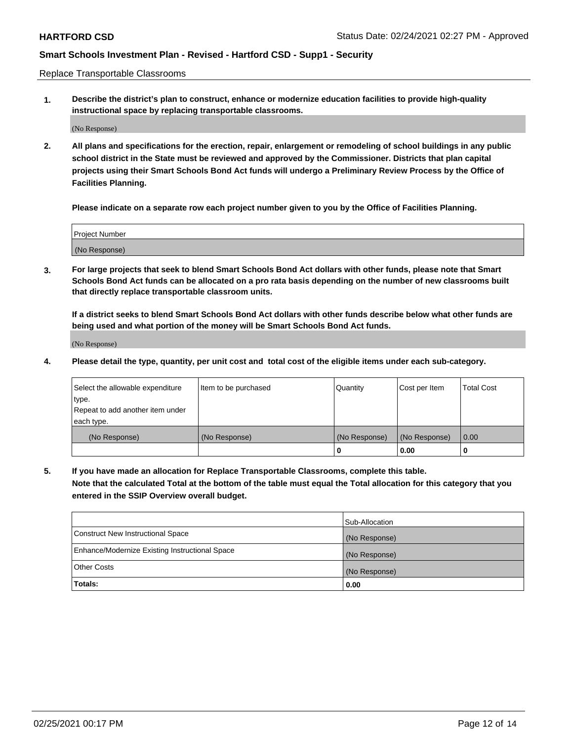Replace Transportable Classrooms

**1. Describe the district's plan to construct, enhance or modernize education facilities to provide high-quality instructional space by replacing transportable classrooms.**

(No Response)

**2. All plans and specifications for the erection, repair, enlargement or remodeling of school buildings in any public school district in the State must be reviewed and approved by the Commissioner. Districts that plan capital projects using their Smart Schools Bond Act funds will undergo a Preliminary Review Process by the Office of Facilities Planning.**

**Please indicate on a separate row each project number given to you by the Office of Facilities Planning.**

| Project Number |  |
|----------------|--|
|                |  |
|                |  |
|                |  |
|                |  |
| (No Response)  |  |
|                |  |
|                |  |
|                |  |

**3. For large projects that seek to blend Smart Schools Bond Act dollars with other funds, please note that Smart Schools Bond Act funds can be allocated on a pro rata basis depending on the number of new classrooms built that directly replace transportable classroom units.**

**If a district seeks to blend Smart Schools Bond Act dollars with other funds describe below what other funds are being used and what portion of the money will be Smart Schools Bond Act funds.**

(No Response)

**4. Please detail the type, quantity, per unit cost and total cost of the eligible items under each sub-category.**

| Select the allowable expenditure | Item to be purchased | Quantity      | Cost per Item | Total Cost |
|----------------------------------|----------------------|---------------|---------------|------------|
| ∣type.                           |                      |               |               |            |
| Repeat to add another item under |                      |               |               |            |
| each type.                       |                      |               |               |            |
| (No Response)                    | (No Response)        | (No Response) | (No Response) | 0.00       |
|                                  |                      | u             | 0.00          |            |

**5. If you have made an allocation for Replace Transportable Classrooms, complete this table. Note that the calculated Total at the bottom of the table must equal the Total allocation for this category that you entered in the SSIP Overview overall budget.**

|                                                | Sub-Allocation |
|------------------------------------------------|----------------|
| Construct New Instructional Space              | (No Response)  |
| Enhance/Modernize Existing Instructional Space | (No Response)  |
| Other Costs                                    | (No Response)  |
| Totals:                                        | 0.00           |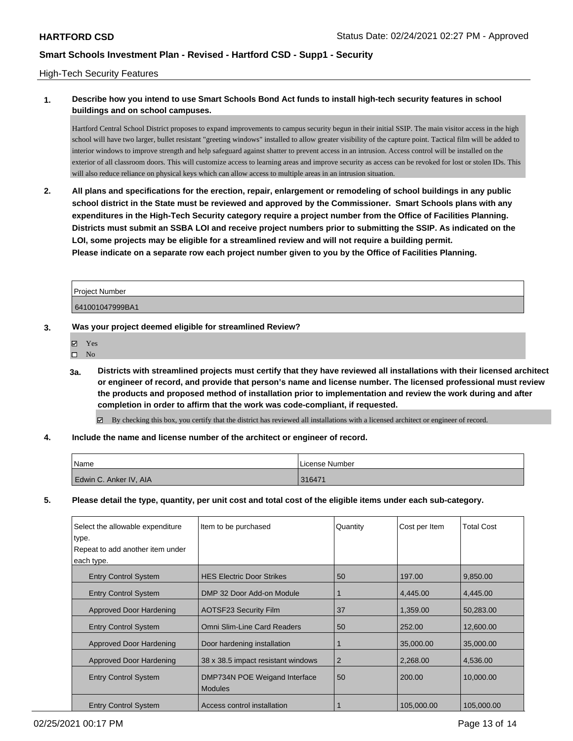## High-Tech Security Features

# **1. Describe how you intend to use Smart Schools Bond Act funds to install high-tech security features in school buildings and on school campuses.**

Hartford Central School District proposes to expand improvements to campus security begun in their initial SSIP. The main visitor access in the high school will have two larger, bullet resistant "greeting windows" installed to allow greater visibility of the capture point. Tactical film will be added to interior windows to improve strength and help safeguard against shatter to prevent access in an intrusion. Access control will be installed on the exterior of all classroom doors. This will customize access to learning areas and improve security as access can be revoked for lost or stolen IDs. This will also reduce reliance on physical keys which can allow access to multiple areas in an intrusion situation.

**2. All plans and specifications for the erection, repair, enlargement or remodeling of school buildings in any public school district in the State must be reviewed and approved by the Commissioner. Smart Schools plans with any expenditures in the High-Tech Security category require a project number from the Office of Facilities Planning. Districts must submit an SSBA LOI and receive project numbers prior to submitting the SSIP. As indicated on the LOI, some projects may be eligible for a streamlined review and will not require a building permit. Please indicate on a separate row each project number given to you by the Office of Facilities Planning.**

Project Number 641001047999BA1

### **3. Was your project deemed eligible for streamlined Review?**

- Yes
- $\square$  No
- **3a. Districts with streamlined projects must certify that they have reviewed all installations with their licensed architect or engineer of record, and provide that person's name and license number. The licensed professional must review the products and proposed method of installation prior to implementation and review the work during and after completion in order to affirm that the work was code-compliant, if requested.**
	- By checking this box, you certify that the district has reviewed all installations with a licensed architect or engineer of record.
- **4. Include the name and license number of the architect or engineer of record.**

| 'Name                  | License Number |
|------------------------|----------------|
| Edwin C. Anker IV, AIA | 316471         |

**5. Please detail the type, quantity, per unit cost and total cost of the eligible items under each sub-category.**

| Select the allowable expenditure<br>type.<br>Repeat to add another item under<br>each type. | Item to be purchased                            | Quantity       | Cost per Item | Total Cost |
|---------------------------------------------------------------------------------------------|-------------------------------------------------|----------------|---------------|------------|
|                                                                                             |                                                 |                |               |            |
| <b>Entry Control System</b>                                                                 | <b>HES Electric Door Strikes</b>                | 50             | 197.00        | 9,850.00   |
| <b>Entry Control System</b>                                                                 | DMP 32 Door Add-on Module                       |                | 4.445.00      | 4.445.00   |
| Approved Door Hardening                                                                     | <b>AOTSF23 Security Film</b>                    | 37             | 1,359.00      | 50,283.00  |
| <b>Entry Control System</b>                                                                 | Omni Slim-Line Card Readers                     | 50             | 252.00        | 12,600.00  |
| Approved Door Hardening                                                                     | Door hardening installation                     |                | 35,000,00     | 35,000,00  |
| <b>Approved Door Hardening</b>                                                              | 38 x 38.5 impact resistant windows              | $\overline{2}$ | 2.268.00      | 4,536.00   |
| <b>Entry Control System</b>                                                                 | DMP734N POE Weigand Interface<br><b>Modules</b> | 50             | 200.00        | 10.000.00  |
| <b>Entry Control System</b>                                                                 | Access control installation                     |                | 105,000.00    | 105,000.00 |